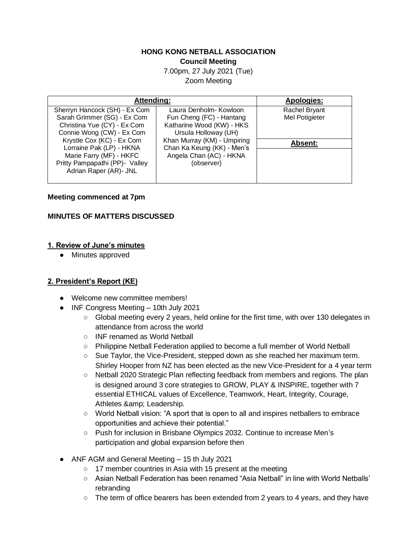### **HONG KONG NETBALL ASSOCIATION Council Meeting**

7.00pm, 27 July 2021 (Tue) Zoom Meeting

| Attending:                                                                                                      |                                                                                 | <b>Apologies:</b>                      |
|-----------------------------------------------------------------------------------------------------------------|---------------------------------------------------------------------------------|----------------------------------------|
| Sherryn Hancock (SH) - Ex Com<br>Sarah Grimmer (SG) - Ex Com                                                    | Laura Denholm- Kowloon<br>Fun Cheng (FC) - Hantang<br>Katharine Wood (KW) - HKS | <b>Rachel Bryant</b><br>Mel Potigieter |
| Christina Yue (CY) - Ex Com<br>Connie Wong (CW) - Ex Com<br>Krystle Cox (KC) - Ex Com                           | Ursula Holloway (UH)<br>Khan Murray (KM) - Umpiring                             |                                        |
| Lorraine Pak (LP) - HKNA<br>Marie Farry (MF) - HKFC<br>Pritty Pampapathi (PP)- Valley<br>Adrian Raper (AR)- JNL | Chan Ka Keung (KK) - Men's<br>Angela Chan (AC) - HKNA<br>(observer)             | <b>Absent:</b>                         |

#### **Meeting commenced at 7pm**

## **MINUTES OF MATTERS DISCUSSED**

### **1. Review of June's minutes**

● Minutes approved

## **2. President's Report (KE)**

- Welcome new committee members!
- INF Congress Meeting 10th July 2021
	- Global meeting every 2 years, held online for the first time, with over 130 delegates in attendance from across the world
	- INF renamed as World Netball
	- Philippine Netball Federation applied to become a full member of World Netball
	- Sue Taylor, the Vice-President, stepped down as she reached her maximum term. Shirley Hooper from NZ has been elected as the new Vice-President for a 4 year term
	- Netball 2020 Strategic Plan reflecting feedback from members and regions. The plan is designed around 3 core strategies to GROW, PLAY & INSPIRE, together with 7 essential ETHICAL values of Excellence, Teamwork, Heart, Integrity, Courage, Athletes & amp; Leadership.
	- World Netball vision: "A sport that is open to all and inspires netballers to embrace opportunities and achieve their potential."
	- Push for inclusion in Brisbane Olympics 2032. Continue to increase Men's participation and global expansion before then
- ANF AGM and General Meeting 15 th July 2021
	- 17 member countries in Asia with 15 present at the meeting
	- Asian Netball Federation has been renamed "Asia Netball" in line with World Netballs' rebranding
	- The term of office bearers has been extended from 2 years to 4 years, and they have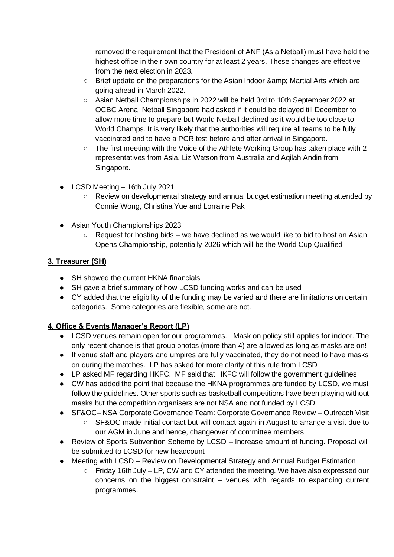removed the requirement that the President of ANF (Asia Netball) must have held the highest office in their own country for at least 2 years. These changes are effective from the next election in 2023.

- Brief update on the preparations for the Asian Indoor & amp; Martial Arts which are going ahead in March 2022.
- Asian Netball Championships in 2022 will be held 3rd to 10th September 2022 at OCBC Arena. Netball Singapore had asked if it could be delayed till December to allow more time to prepare but World Netball declined as it would be too close to World Champs. It is very likely that the authorities will require all teams to be fully vaccinated and to have a PCR test before and after arrival in Singapore.
- The first meeting with the Voice of the Athlete Working Group has taken place with 2 representatives from Asia. Liz Watson from Australia and Aqilah Andin from Singapore.
- LCSD Meeting 16th July 2021
	- Review on developmental strategy and annual budget estimation meeting attended by Connie Wong, Christina Yue and Lorraine Pak
- Asian Youth Championships 2023
	- $\circ$  Request for hosting bids we have declined as we would like to bid to host an Asian Opens Championship, potentially 2026 which will be the World Cup Qualified

## **3. Treasurer (SH)**

- SH showed the current HKNA financials
- SH gave a brief summary of how LCSD funding works and can be used
- CY added that the eligibility of the funding may be varied and there are limitations on certain categories. Some categories are flexible, some are not.

# **4. Office & Events Manager's Report (LP)**

- LCSD venues remain open for our programmes. Mask on policy still applies for indoor. The only recent change is that group photos (more than 4) are allowed as long as masks are on!
- If venue staff and players and umpires are fully vaccinated, they do not need to have masks on during the matches. LP has asked for more clarity of this rule from LCSD
- LP asked MF regarding HKFC. MF said that HKFC will follow the government guidelines
- CW has added the point that because the HKNA programmes are funded by LCSD, we must follow the guidelines. Other sports such as basketball competitions have been playing without masks but the competition organisers are not NSA and not funded by LCSD
- SF&OC- NSA Corporate Governance Team: Corporate Governance Review Outreach Visit
	- SF&OC made initial contact but will contact again in August to arrange a visit due to our AGM in June and hence, changeover of committee members
- Review of Sports Subvention Scheme by LCSD Increase amount of funding. Proposal will be submitted to LCSD for new headcount
- Meeting with LCSD Review on Developmental Strategy and Annual Budget Estimation
	- Friday 16th July LP, CW and CY attended the meeting. We have also expressed our concerns on the biggest constraint – venues with regards to expanding current programmes.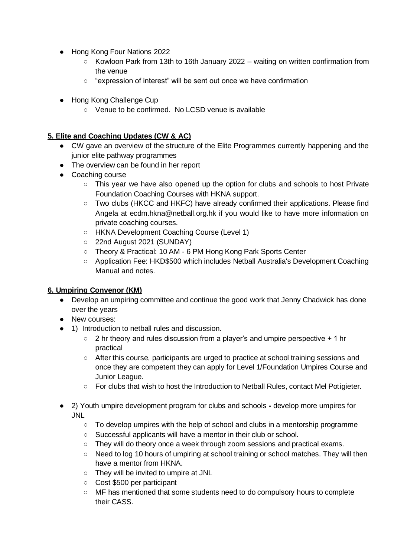- Hong Kong Four Nations 2022
	- Kowloon Park from 13th to 16th January 2022 waiting on written confirmation from the venue
	- "expression of interest" will be sent out once we have confirmation
- Hong Kong Challenge Cup
	- Venue to be confirmed. No LCSD venue is available

## **5. Elite and Coaching Updates (CW & AC)**

- CW gave an overview of the structure of the Elite Programmes currently happening and the junior elite pathway programmes
- The overview can be found in her report
- Coaching course
	- This year we have also opened up the option for clubs and schools to host Private Foundation Coaching Courses with HKNA support.
	- Two clubs (HKCC and HKFC) have already confirmed their applications. Please find Angela at ecdm.hkna@netball.org.hk if you would like to have more information on private coaching courses.
	- HKNA Development Coaching Course (Level 1)
	- 22nd August 2021 (SUNDAY)
	- Theory & Practical: 10 AM 6 PM Hong Kong Park Sports Center
	- Application Fee: HKD\$500 which includes Netball Australia's Development Coaching Manual and notes.

## **6. Umpiring Convenor (KM)**

- Develop an umpiring committee and continue the good work that Jenny Chadwick has done over the years
- New courses:
- 1) Introduction to netball rules and discussion.
	- $\circ$  2 hr theory and rules discussion from a player's and umpire perspective  $+1$  hr practical
	- After this course, participants are urged to practice at school training sessions and once they are competent they can apply for Level 1/Foundation Umpires Course and Junior League.
	- For clubs that wish to host the Introduction to Netball Rules, contact Mel Potigieter.
- 2) Youth umpire development program for clubs and schools **-** develop more umpires for JNL
	- $\circ$  To develop umpires with the help of school and clubs in a mentorship programme
	- Successful applicants will have a mentor in their club or school.
	- They will do theory once a week through zoom sessions and practical exams.
	- Need to log 10 hours of umpiring at school training or school matches. They will then have a mentor from HKNA.
	- They will be invited to umpire at JNL
	- Cost \$500 per participant
	- MF has mentioned that some students need to do compulsory hours to complete their CASS.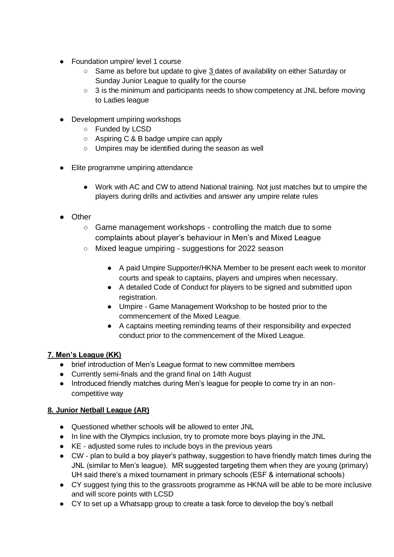- Foundation umpire/ level 1 course
	- Same as before but update to give 3 dates of availability on either Saturday or Sunday Junior League to qualify for the course
	- 3 is the minimum and participants needs to show competency at JNL before moving to Ladies league
- Development umpiring workshops
	- Funded by LCSD
	- Aspiring C & B badge umpire can apply
	- Umpires may be identified during the season as well
- Elite programme umpiring attendance
	- Work with AC and CW to attend National training. Not just matches but to umpire the players during drills and activities and answer any umpire relate rules
- Other
	- Game management workshops controlling the match due to some complaints about player's behaviour in Men's and Mixed League
	- Mixed league umpiring suggestions for 2022 season
		- A paid Umpire Supporter/HKNA Member to be present each week to monitor courts and speak to captains, players and umpires when necessary.
		- A detailed Code of Conduct for players to be signed and submitted upon registration.
		- Umpire Game Management Workshop to be hosted prior to the commencement of the Mixed League.
		- A captains meeting reminding teams of their responsibility and expected conduct prior to the commencement of the Mixed League.

# **7. Men's League (KK)**

- brief introduction of Men's League format to new committee members
- Currently semi-finals and the grand final on 14th August
- Introduced friendly matches during Men's league for people to come try in an noncompetitive way

# **8. Junior Netball League (AR)**

- Questioned whether schools will be allowed to enter JNL
- In line with the Olympics inclusion, try to promote more boys playing in the JNL
- KE adjusted some rules to include boys in the previous years
- CW plan to build a boy player's pathway, suggestion to have friendly match times during the JNL (similar to Men's league). MR suggested targeting them when they are young (primary) UH said there's a mixed tournament in primary schools (ESF & international schools)
- CY suggest tying this to the grassroots programme as HKNA will be able to be more inclusive and will score points with LCSD
- CY to set up a Whatsapp group to create a task force to develop the boy's netball